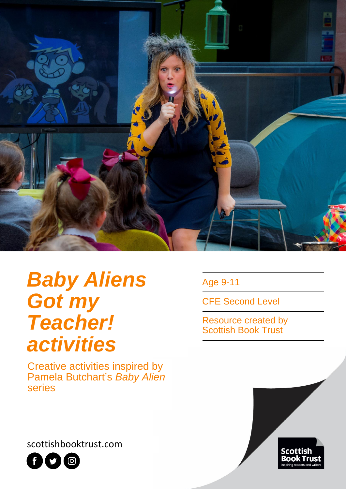

# *Baby Aliens Got my Teacher! activities*

Creative activities inspired by Pamela Butchart's *Baby Alien* series

Age 9-11

CFE Second Level

Resource created by Scottish Book Trust



scottishbooktrust.com

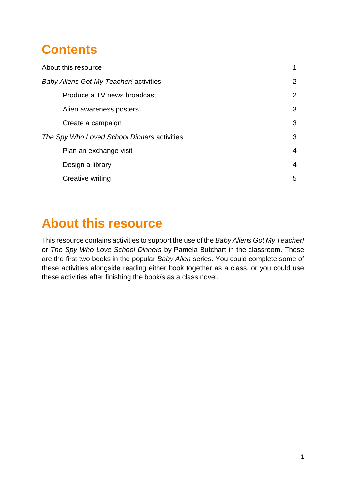# **Contents**

| About this resource                           | 1              |
|-----------------------------------------------|----------------|
| <b>Baby Aliens Got My Teacher! activities</b> | 2              |
| Produce a TV news broadcast                   | $\overline{2}$ |
| Alien awareness posters                       | 3              |
| Create a campaign                             | 3              |
| The Spy Who Loved School Dinners activities   | 3              |
| Plan an exchange visit                        | 4              |
| Design a library                              | 4              |
| Creative writing                              | 5              |
|                                               |                |

### **About this resource**

This resource contains activities to support the use of the *Baby Aliens Got My Teacher!*  or *The Spy Who Love School Dinners* by Pamela Butchart in the classroom. These are the first two books in the popular *Baby Alien* series. You could complete some of these activities alongside reading either book together as a class, or you could use these activities after finishing the book/s as a class novel.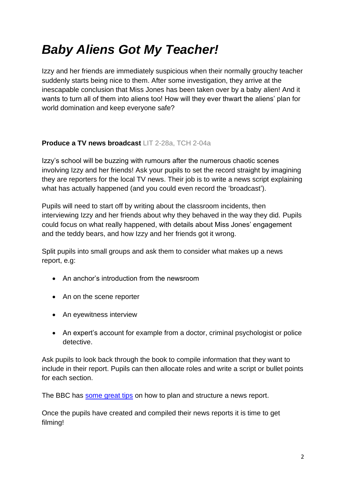# *Baby Aliens Got My Teacher!*

Izzy and her friends are immediately suspicious when their normally grouchy teacher suddenly starts being nice to them. After some investigation, they arrive at the inescapable conclusion that Miss Jones has been taken over by a baby alien! And it wants to turn all of them into aliens too! How will they ever thwart the aliens' plan for world domination and keep everyone safe?

#### **Produce a TV news broadcast** LIT 2-28a, TCH 2-04a

Izzy's school will be buzzing with rumours after the numerous chaotic scenes involving Izzy and her friends! Ask your pupils to set the record straight by imagining they are reporters for the local TV news. Their job is to write a news script explaining what has actually happened (and you could even record the 'broadcast').

Pupils will need to start off by writing about the classroom incidents, then interviewing Izzy and her friends about why they behaved in the way they did. Pupils could focus on what really happened, with details about Miss Jones' engagement and the teddy bears, and how Izzy and her friends got it wrong.

Split pupils into small groups and ask them to consider what makes up a news report, e.g:

- An anchor's introduction from the newsroom
- An on the scene reporter
- An eyewitness interview
- An expert's account for example from a doctor, criminal psychologist or police detective.

Ask pupils to look back through the book to compile information that they want to include in their report. Pupils can then allocate roles and write a script or bullet points for each section.

The BBC has [some great tips](http://news.bbc.co.uk/1/hi/school_report/resources_for_teachers/8472052.stm) on how to plan and structure a news report.

Once the pupils have created and compiled their news reports it is time to get filming!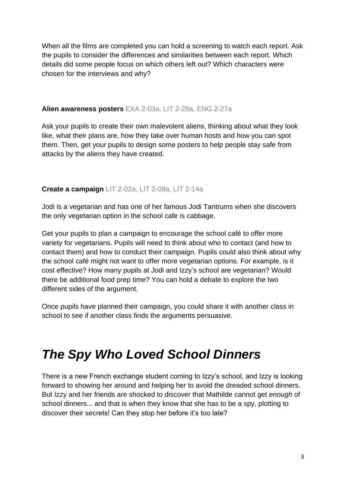When all the films are completed you can hold a screening to watch each report. Ask the pupils to consider the differences and similarities between each report. Which details did some people focus on which others left out? Which characters were chosen for the interviews and why?

#### **Alien awareness posters** EXA 2-03a, LIT 2-28a, ENG 2-27a

Ask your pupils to create their own malevolent aliens, thinking about what they look like, what their plans are, how they take over human hosts and how you can spot them. Then, get your pupils to design some posters to help people stay safe from attacks by the aliens they have created.

### **Create a campaign** LIT 2-02a, LIT 2-09a, LIT 2-14a

Jodi is a vegetarian and has one of her famous Jodi Tantrums when she discovers the only vegetarian option in the school cafe is cabbage.

Get your pupils to plan a campaign to encourage the school café to offer more variety for vegetarians. Pupils will need to think about who to contact (and how to contact them) and how to conduct their campaign. Pupils could also think about why the school café might not want to offer more vegetarian options. For example, is it cost effective? How many pupils at Jodi and Izzy's school are vegetarian? Would there be additional food prep time? You can hold a debate to explore the two different sides of the argument.

Once pupils have planned their campaign, you could share it with another class in school to see if another class finds the arguments persuasive.

# *The Spy Who Loved School Dinners*

There is a new French exchange student coming to Izzy's school, and Izzy is looking forward to showing her around and helping her to avoid the dreaded school dinners. But Izzy and her friends are shocked to discover that Mathilde cannot get *enough* of school dinners... and that is when they know that she has to be a spy, plotting to discover their secrets! Can they stop her before it's too late?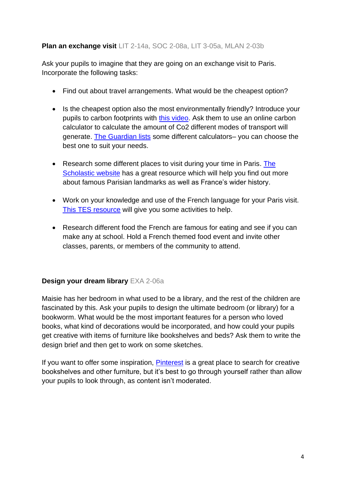### **Plan an exchange visit** LIT 2-14a, SOC 2-08a, LIT 3-05a, MLAN 2-03b

Ask your pupils to imagine that they are going on an exchange visit to Paris. Incorporate the following tasks:

- Find out about travel arrangements. What would be the cheapest option?
- Is the cheapest option also the most environmentally friendly? Introduce your pupils to carbon footprints with [this video.](https://www.youtube.com/watch?v=DKDq1RMHscQ) Ask them to use an online carbon calculator to calculate the amount of Co2 different modes of transport will generate. [The Guardian lists](https://www.theguardian.com/environment/2008/feb/19/carbon.web) some different calculators– you can choose the best one to suit your needs.
- Research some different places to visit during your time in Paris. The [Scholastic website](http://teacher.scholastic.com/activities/globaltrek/) has a great resource which will help you find out more about famous Parisian landmarks as well as France's wider history.
- Work on your knowledge and use of the French language for your Paris visit. [This TES resource](https://www.tes.com/teaching-resource/ks2-french-paris-visit-aller-infinitive-6333622) will give you some activities to help.
- Research different food the French are famous for eating and see if you can make any at school. Hold a French themed food event and invite other classes, parents, or members of the community to attend.

#### **Design your dream library** EXA 2-06a

Maisie has her bedroom in what used to be a library, and the rest of the children are fascinated by this. Ask your pupils to design the ultimate bedroom (or library) for a bookworm. What would be the most important features for a person who loved books, what kind of decorations would be incorporated, and how could your pupils get creative with items of furniture like bookshelves and beds? Ask them to write the design brief and then get to work on some sketches.

If you want to offer some inspiration, [Pinterest](https://www.pinterest.com/) is a great place to search for creative bookshelves and other furniture, but it's best to go through yourself rather than allow your pupils to look through, as content isn't moderated.